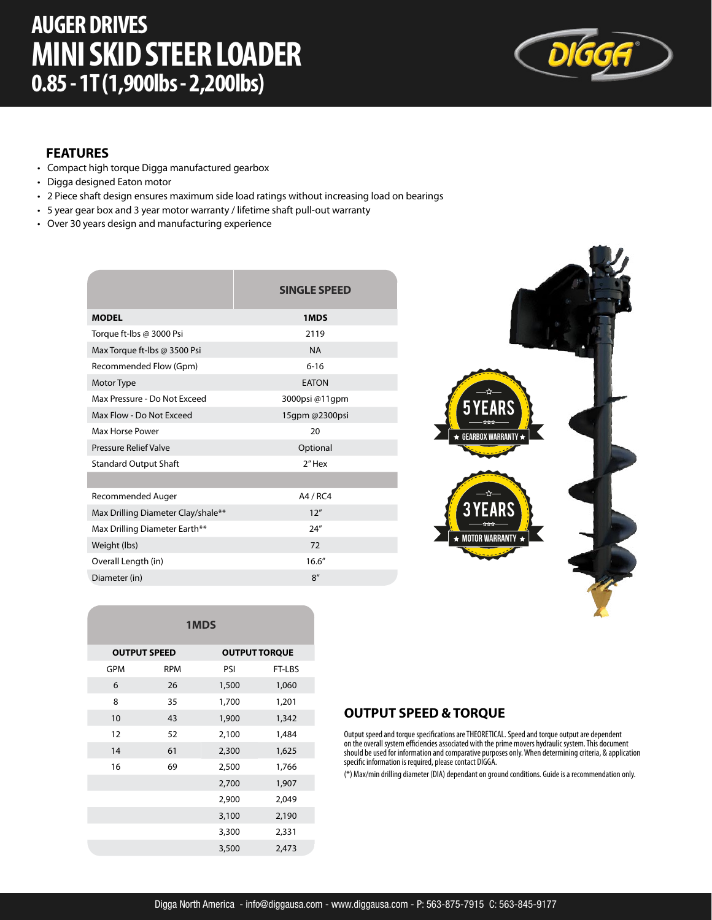# **AUGER DRIVES MINI SKID STEER LOADER 0.85 - 1T (1,900lbs - 2,200lbs)**



#### **FEATURES**

- Compact high torque Digga manufactured gearbox
- Digga designed Eaton motor
- 2 Piece shaft design ensures maximum side load ratings without increasing load on bearings
- 5 year gear box and 3 year motor warranty / lifetime shaft pull-out warranty
- Over 30 years design and manufacturing experience

|                                            | <b>SINGLE SPEED</b> |  |
|--------------------------------------------|---------------------|--|
| <b>MODEL</b>                               | 1MDS                |  |
| Torque ft-lbs @ 3000 Psi                   | 2119                |  |
| Max Torque ft-lbs @ 3500 Psi<br><b>NA</b>  |                     |  |
| Recommended Flow (Gpm)                     | $6 - 16$            |  |
| <b>EATON</b><br>Motor Type                 |                     |  |
| Max Pressure - Do Not Exceed               | 3000psi@11gpm       |  |
| Max Flow - Do Not Exceed                   | 15qpm @2300psi      |  |
| Max Horse Power<br>20                      |                     |  |
| Pressure Relief Valve                      | Optional            |  |
| <b>Standard Output Shaft</b>               | 2"Hex               |  |
|                                            |                     |  |
| Recommended Auger                          | A4 / RC4            |  |
| Max Drilling Diameter Clay/shale**<br>12'' |                     |  |
| Max Drilling Diameter Earth**              | 24''                |  |
| Weight (lbs)                               | 72                  |  |
| Overall Length (in)                        | 16.6''              |  |
| Diameter (in)                              | 8''                 |  |



| 1MDS                |            |       |                      |  |
|---------------------|------------|-------|----------------------|--|
| <b>OUTPUT SPEED</b> |            |       | <b>OUTPUT TORQUE</b> |  |
| GPM                 | <b>RPM</b> | PSI   | FT-LBS               |  |
| 6                   | 26         | 1,500 | 1,060                |  |
| 8                   | 35         | 1,700 | 1,201                |  |
| 10                  | 43         | 1,900 | 1,342                |  |
| 12                  | 52         | 2,100 | 1,484                |  |
| 14                  | 61         | 2,300 | 1,625                |  |
| 16                  | 69         | 2,500 | 1,766                |  |
|                     |            | 2,700 | 1,907                |  |
|                     |            | 2,900 | 2,049                |  |
|                     |            | 3,100 | 2,190                |  |
|                     |            | 3,300 | 2,331                |  |
|                     |            | 3,500 | 2,473                |  |

### **OUTPUT SPEED & TORQUE**

Output speed and torque specifications are THEORETICAL. Speed and torque output are dependent on the overall system efficiencies associated with the prime movers hydraulic system. This document should be used for information and comparative purposes only. When determining criteria, & application specific information is required, please contact DIGGA.

(\*) Max/min drilling diameter (DIA) dependant on ground conditions. Guide is a recommendation only.